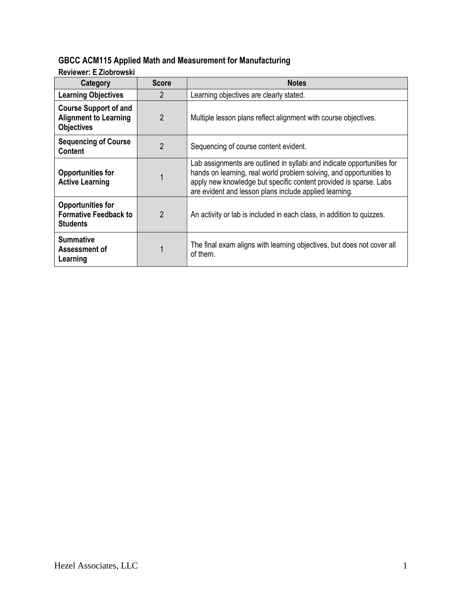## **GBCC ACM115 Applied Math and Measurement for Manufacturing**

**Reviewer: E Ziobrowski**

| Category                                                                          | <b>Score</b>   | <b>Notes</b>                                                                                                                                                                                                                                                                 |  |
|-----------------------------------------------------------------------------------|----------------|------------------------------------------------------------------------------------------------------------------------------------------------------------------------------------------------------------------------------------------------------------------------------|--|
| <b>Learning Objectives</b>                                                        | $\mathfrak{p}$ | Learning objectives are clearly stated.                                                                                                                                                                                                                                      |  |
| <b>Course Support of and</b><br><b>Alignment to Learning</b><br><b>Objectives</b> | 2              | Multiple lesson plans reflect alignment with course objectives.                                                                                                                                                                                                              |  |
| <b>Sequencing of Course</b><br><b>Content</b>                                     | 2              | Sequencing of course content evident.                                                                                                                                                                                                                                        |  |
| <b>Opportunities for</b><br><b>Active Learning</b>                                |                | Lab assignments are outlined in syllabi and indicate opportunities for<br>hands on learning, real world problem solving, and opportunities to<br>apply new knowledge but specific content provided is sparse. Labs<br>are evident and lesson plans include applied learning. |  |
| <b>Opportunities for</b><br><b>Formative Feedback to</b><br><b>Students</b>       | $\overline{2}$ | An activity or lab is included in each class, in addition to quizzes.                                                                                                                                                                                                        |  |
| <b>Summative</b><br>Assessment of<br>Learning                                     |                | The final exam aligns with learning objectives, but does not cover all<br>of them.                                                                                                                                                                                           |  |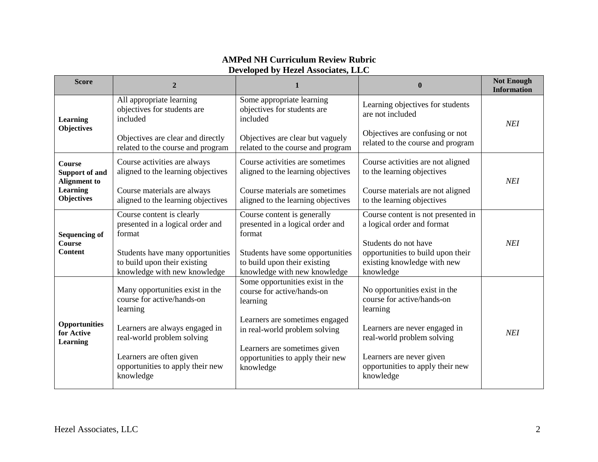| <b>Score</b>                                                                                   | $\overline{2}$                                                                                   | 1                                                                                                | $\mathbf{0}$                                                                                          | <b>Not Enough</b><br><b>Information</b> |
|------------------------------------------------------------------------------------------------|--------------------------------------------------------------------------------------------------|--------------------------------------------------------------------------------------------------|-------------------------------------------------------------------------------------------------------|-----------------------------------------|
| <b>Learning</b><br><b>Objectives</b>                                                           | All appropriate learning<br>objectives for students are<br>included                              | Some appropriate learning<br>objectives for students are<br>included                             | Learning objectives for students<br>are not included                                                  | <b>NEI</b>                              |
|                                                                                                | Objectives are clear and directly<br>related to the course and program                           | Objectives are clear but vaguely<br>related to the course and program                            | Objectives are confusing or not<br>related to the course and program                                  |                                         |
| Course<br><b>Support of and</b><br><b>Alignment</b> to<br><b>Learning</b><br><b>Objectives</b> | Course activities are always<br>aligned to the learning objectives                               | Course activities are sometimes<br>aligned to the learning objectives                            | Course activities are not aligned<br>to the learning objectives                                       | <b>NEI</b>                              |
|                                                                                                | Course materials are always<br>aligned to the learning objectives                                | Course materials are sometimes<br>aligned to the learning objectives                             | Course materials are not aligned<br>to the learning objectives                                        |                                         |
| <b>Sequencing of</b><br><b>Course</b><br><b>Content</b>                                        | Course content is clearly<br>presented in a logical order and<br>format                          | Course content is generally<br>presented in a logical order and<br>format                        | Course content is not presented in<br>a logical order and format                                      |                                         |
|                                                                                                | Students have many opportunities<br>to build upon their existing<br>knowledge with new knowledge | Students have some opportunities<br>to build upon their existing<br>knowledge with new knowledge | Students do not have<br>opportunities to build upon their<br>existing knowledge with new<br>knowledge | <b>NEI</b>                              |
| <b>Opportunities</b><br>for Active<br><b>Learning</b>                                          | Many opportunities exist in the<br>course for active/hands-on<br>learning                        | Some opportunities exist in the<br>course for active/hands-on<br>learning                        | No opportunities exist in the<br>course for active/hands-on<br>learning                               |                                         |
|                                                                                                | Learners are always engaged in<br>real-world problem solving                                     | Learners are sometimes engaged<br>in real-world problem solving                                  | Learners are never engaged in<br>real-world problem solving                                           | <b>NEI</b>                              |
|                                                                                                | Learners are often given<br>opportunities to apply their new<br>knowledge                        | Learners are sometimes given<br>opportunities to apply their new<br>knowledge                    | Learners are never given<br>opportunities to apply their new<br>knowledge                             |                                         |

## **AMPed NH Curriculum Review Rubric Developed by Hezel Associates, LLC**